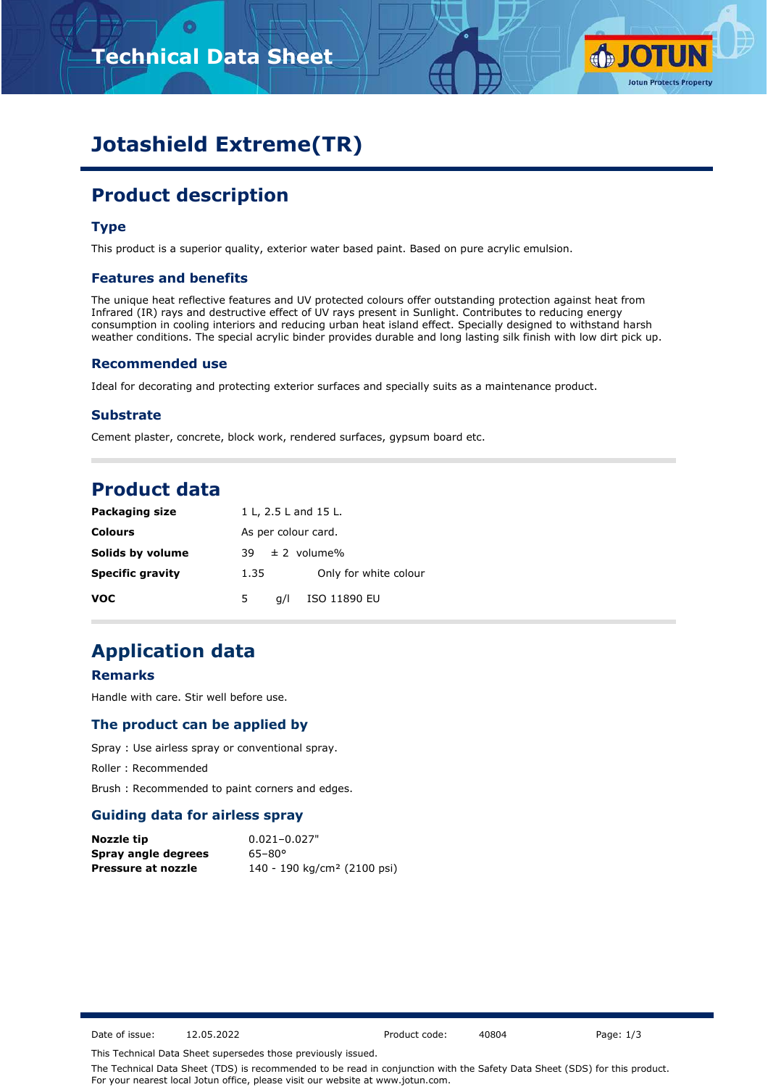



# **Jotashield Extreme(TR)**

# **Product description**

#### **Type**

This product is a superior quality, exterior water based paint. Based on pure acrylic emulsion.

#### **Features and benefits**

The unique heat reflective features and UV protected colours offer outstanding protection against heat from Infrared (IR) rays and destructive effect of UV rays present in Sunlight. Contributes to reducing energy consumption in cooling interiors and reducing urban heat island effect. Specially designed to withstand harsh weather conditions. The special acrylic binder provides durable and long lasting silk finish with low dirt pick up.

#### **Recommended use**

Ideal for decorating and protecting exterior surfaces and specially suits as a maintenance product.

#### **Substrate**

Cement plaster, concrete, block work, rendered surfaces, gypsum board etc.

### **Product data**

| <b>Packaging size</b>   | 1 L, 2.5 L and 15 L.          |  |  |  |  |  |
|-------------------------|-------------------------------|--|--|--|--|--|
| <b>Colours</b>          | As per colour card.           |  |  |  |  |  |
| Solids by volume        | $\pm$ 2 volume%<br>39.        |  |  |  |  |  |
| <b>Specific gravity</b> | Only for white colour<br>1.35 |  |  |  |  |  |
| <b>VOC</b>              | ISO 11890 EU<br>5.<br>a/l     |  |  |  |  |  |

### **Application data**

#### **Remarks**

Handle with care. Stir well before use.

#### **The product can be applied by**

Spray : Use airless spray or conventional spray.

Roller : Recommended

Brush : Recommended to paint corners and edges.

#### **Guiding data for airless spray**

| Nozzle tip          | $0.021 - 0.027"$                        |
|---------------------|-----------------------------------------|
| Spray angle degrees | $65 - 80^{\circ}$                       |
| Pressure at nozzle  | 140 - 190 kg/cm <sup>2</sup> (2100 psi) |

Date of issue: 12.05.2022 Product code: 40804 Page: 1/3

This Technical Data Sheet supersedes those previously issued.

The Technical Data Sheet (TDS) is recommended to be read in conjunction with the Safety Data Sheet (SDS) for this product. For your nearest local Jotun office, please visit our website at www.jotun.com.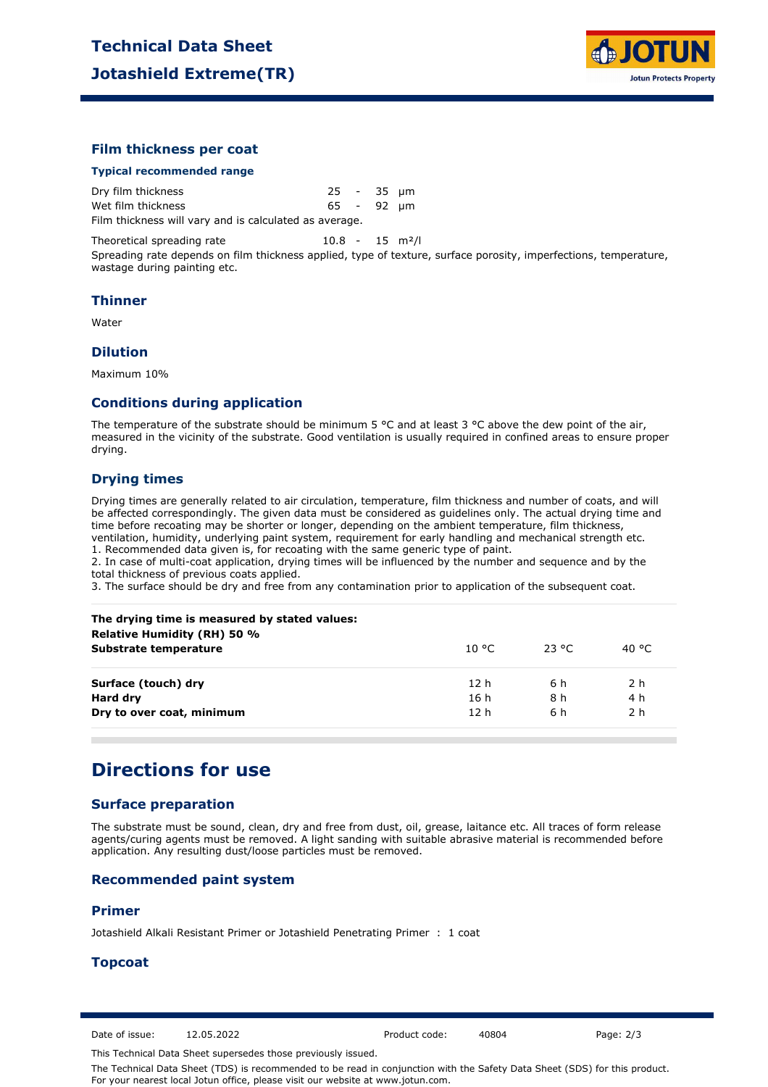

#### **Film thickness per coat**

#### **Typical recommended range**

wastage during painting etc.

| Dry film thickness                                     | 25 - 35 µm |  |  |
|--------------------------------------------------------|------------|--|--|
| Wet film thickness                                     | 65 - 92 um |  |  |
| Film thickness will vary and is calculated as average. |            |  |  |

Theoretical spreading rate 10.8 - 15 m<sup>2</sup>/l Spreading rate depends on film thickness applied, type of texture, surface porosity, imperfections, temperature,

#### **Thinner**

Water

#### **Dilution**

Maximum 10%

#### **Conditions during application**

The temperature of the substrate should be minimum 5 °C and at least 3 °C above the dew point of the air, measured in the vicinity of the substrate. Good ventilation is usually required in confined areas to ensure proper drying.

#### **Drying times**

Drying times are generally related to air circulation, temperature, film thickness and number of coats, and will be affected correspondingly. The given data must be considered as guidelines only. The actual drying time and time before recoating may be shorter or longer, depending on the ambient temperature, film thickness, ventilation, humidity, underlying paint system, requirement for early handling and mechanical strength etc. 1. Recommended data given is, for recoating with the same generic type of paint.

2. In case of multi-coat application, drying times will be influenced by the number and sequence and by the total thickness of previous coats applied.

3. The surface should be dry and free from any contamination prior to application of the subsequent coat.

| The drying time is measured by stated values:<br><b>Relative Humidity (RH) 50 %</b> |                 |        |                |
|-------------------------------------------------------------------------------------|-----------------|--------|----------------|
| Substrate temperature                                                               | 10 °C.          | -23 °C | 40 °C          |
| Surface (touch) dry                                                                 | 12 h            | 6 h    | 2 <sub>h</sub> |
| Hard dry                                                                            | 16 h            | 8 h    | 4 h            |
| Dry to over coat, minimum                                                           | 12 <sub>h</sub> | 6 h    | 2 <sub>h</sub> |

### **Directions for use**

#### **Surface preparation**

The substrate must be sound, clean, dry and free from dust, oil, grease, laitance etc. All traces of form release agents/curing agents must be removed. A light sanding with suitable abrasive material is recommended before application. Any resulting dust/loose particles must be removed.

#### **Recommended paint system**

#### **Primer**

Jotashield Alkali Resistant Primer or Jotashield Penetrating Primer : 1 coat

#### **Topcoat**

Date of issue: 12.05.2022 Product code: 40804 Page: 2/3

This Technical Data Sheet supersedes those previously issued.

The Technical Data Sheet (TDS) is recommended to be read in conjunction with the Safety Data Sheet (SDS) for this product. For your nearest local Jotun office, please visit our website at www.jotun.com.